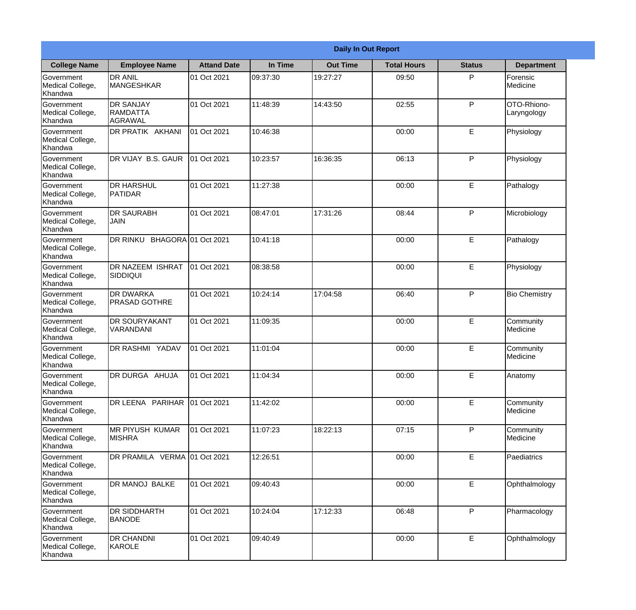|                                                  | <b>Daily In Out Report</b>                     |                    |          |                 |                    |               |                            |  |
|--------------------------------------------------|------------------------------------------------|--------------------|----------|-----------------|--------------------|---------------|----------------------------|--|
| <b>College Name</b>                              | <b>Employee Name</b>                           | <b>Attand Date</b> | In Time  | <b>Out Time</b> | <b>Total Hours</b> | <b>Status</b> | <b>Department</b>          |  |
| Government<br>Medical College,<br>Khandwa        | <b>DR ANIL</b><br><b>MANGESHKAR</b>            | 01 Oct 2021        | 09:37:30 | 19:27:27        | 09:50              | P             | Forensic<br>Medicine       |  |
| Government<br>Medical College,<br>Khandwa        | <b>DR SANJAY</b><br><b>RAMDATTA</b><br>AGRAWAL | 01 Oct 2021        | 11:48:39 | 14:43:50        | 02:55              | P             | OTO-Rhiono-<br>Laryngology |  |
| <b>Government</b><br>Medical College,<br>Khandwa | <b>DR PRATIK AKHANI</b>                        | 01 Oct 2021        | 10:46:38 |                 | 00:00              | E             | Physiology                 |  |
| <b>Government</b><br>Medical College,<br>Khandwa | DR VIJAY B.S. GAUR                             | 01 Oct 2021        | 10:23:57 | 16:36:35        | 06:13              | P             | Physiology                 |  |
| Government<br>Medical College,<br>Khandwa        | <b>DR HARSHUL</b><br>PATIDAR                   | 01 Oct 2021        | 11:27:38 |                 | 00:00              | E             | Pathalogy                  |  |
| Government<br>Medical College,<br>Khandwa        | <b>DR SAURABH</b><br><b>JAIN</b>               | 01 Oct 2021        | 08:47:01 | 17:31:26        | 08:44              | P             | Microbiology               |  |
| <b>Government</b><br>Medical College,<br>Khandwa | DR RINKU BHAGORA 01 Oct 2021                   |                    | 10:41:18 |                 | 00:00              | E             | Pathalogy                  |  |
| <b>Government</b><br>Medical College,<br>Khandwa | DR NAZEEM ISHRAT<br> SIDDIQUI                  | 01 Oct 2021        | 08:38:58 |                 | 00:00              | E             | Physiology                 |  |
| Government<br>Medical College,<br>Khandwa        | <b>DR DWARKA</b><br><b>PRASAD GOTHRE</b>       | 01 Oct 2021        | 10:24:14 | 17:04:58        | 06:40              | P             | <b>Bio Chemistry</b>       |  |
| Government<br>Medical College,<br>Khandwa        | <b>DR SOURYAKANT</b><br>VARANDANI              | 01 Oct 2021        | 11:09:35 |                 | 00:00              | E             | Community<br>Medicine      |  |
| Government<br>Medical College,<br>Khandwa        | <b>DR RASHMI YADAV</b>                         | 01 Oct 2021        | 11:01:04 |                 | 00:00              | E             | Community<br>Medicine      |  |
| Government<br>Medical College,<br>Khandwa        | DR DURGA AHUJA                                 | 01 Oct 2021        | 11:04:34 |                 | 00:00              | E             | Anatomy                    |  |
| Government<br>Medical College,<br>Khandwa        | DR LEENA PARIHAR                               | 01 Oct 2021        | 11:42:02 |                 | 00:00              | E             | Community<br>Medicine      |  |
| Government<br>Medical College,<br>Khandwa        | <b>IMR PIYUSH KUMAR</b><br><b>MISHRA</b>       | 01 Oct 2021        | 11:07:23 | 18:22:13        | 07:15              | P             | Community<br>Medicine      |  |
| Government<br>Medical College,<br>Khandwa        | DR PRAMILA VERMA 01 Oct 2021                   |                    | 12:26:51 |                 | 00:00              | E             | Paediatrics                |  |
| Government<br>Medical College,<br>Khandwa        | DR MANOJ BALKE                                 | 01 Oct 2021        | 09:40:43 |                 | 00:00              | E             | Ophthalmology              |  |
| Government<br>Medical College,<br>Khandwa        | <b>DR SIDDHARTH</b><br><b>BANODE</b>           | 01 Oct 2021        | 10:24:04 | 17:12:33        | 06:48              | P             | Pharmacology               |  |
| Government<br>Medical College,<br>Khandwa        | <b>DR CHANDNI</b><br>KAROLE                    | 01 Oct 2021        | 09:40:49 |                 | 00:00              | $\mathsf E$   | Ophthalmology              |  |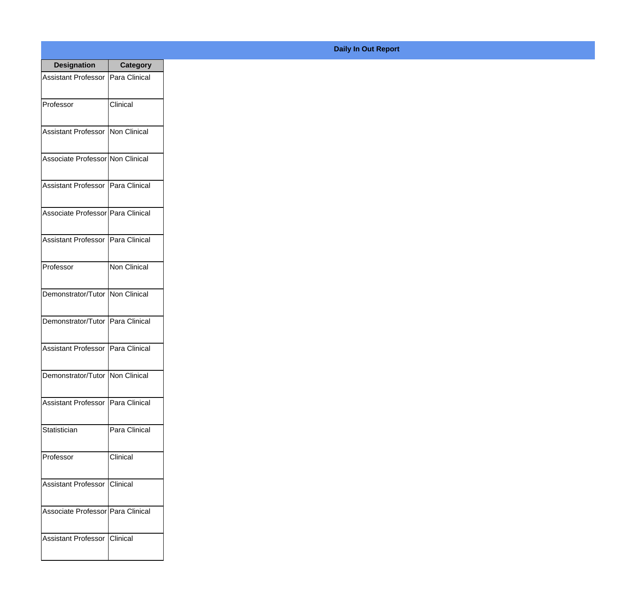| <b>Designation</b>                  | <b>Category</b> |
|-------------------------------------|-----------------|
| Assistant Professor   Para Clinical |                 |
| Professor                           | Clinical        |
| Assistant Professor Non Clinical    |                 |
| Associate Professor Non Clinical    |                 |
| <b>Assistant Professor</b>          | Para Clinical   |
| Associate Professor Para Clinical   |                 |
| Assistant Professor   Para Clinical |                 |
| Professor                           | Non Clinical    |
| Demonstrator/Tutor   Non Clinical   |                 |
| Demonstrator/Tutor   Para Clinical  |                 |
| <b>Assistant Professor</b>          | Para Clinical   |
| Demonstrator/Tutor   Non Clinical   |                 |
| <b>Assistant Professor</b>          | Para Clinical   |
| Statistician                        | Para Clinical   |
| Professor                           | Clinical        |
| <b>Assistant Professor</b>          | <b>Clinical</b> |
| Associate Professor   Para Clinical |                 |
| <b>Assistant Professor</b>          | <b>Clinical</b> |

## **Daily In Out Report**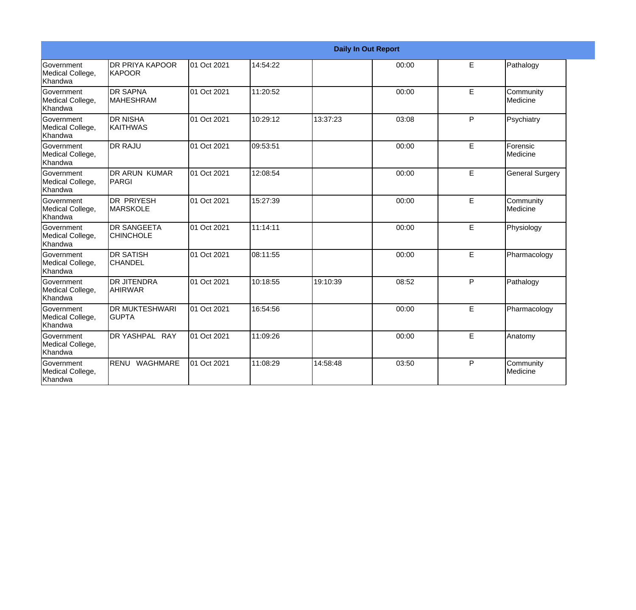|                                                         |                                         |             |          | <b>Daily In Out Report</b> |       |   |                        |
|---------------------------------------------------------|-----------------------------------------|-------------|----------|----------------------------|-------|---|------------------------|
| Government<br>Medical College,<br>Khandwa               | <b>DR PRIYA KAPOOR</b><br>KAPOOR        | 01 Oct 2021 | 14:54:22 |                            | 00:00 | E | Pathalogy              |
| <b>Government</b><br>Medical College,<br><b>Khandwa</b> | <b>IDR SAPNA</b><br><b>MAHESHRAM</b>    | 01 Oct 2021 | 11:20:52 |                            | 00:00 | E | Community<br>Medicine  |
| Government<br>Medical College,<br>Khandwa               | <b>DR NISHA</b><br><b>KAITHWAS</b>      | 01 Oct 2021 | 10:29:12 | 13:37:23                   | 03:08 | P | Psychiatry             |
| <b>Government</b><br>Medical College,<br>Khandwa        | <b>DR RAJU</b>                          | 01 Oct 2021 | 09:53:51 |                            | 00:00 | E | Forensic<br>Medicine   |
| <b>Government</b><br>Medical College,<br>Khandwa        | DR ARUN KUMAR<br>PARGI                  | 01 Oct 2021 | 12:08:54 |                            | 00:00 | E | <b>General Surgery</b> |
| Government<br>Medical College,<br>Khandwa               | <b>DR PRIYESH</b><br><b>MARSKOLE</b>    | 01 Oct 2021 | 15:27:39 |                            | 00:00 | E | Community<br>Medicine  |
| <b>Government</b><br>Medical College,<br>Khandwa        | <b>IDR SANGEETA</b><br><b>CHINCHOLE</b> | 01 Oct 2021 | 11:14:11 |                            | 00:00 | E | Physiology             |
| <b>Government</b><br>Medical College,<br>Khandwa        | <b>DR SATISH</b><br><b>CHANDEL</b>      | 01 Oct 2021 | 08:11:55 |                            | 00:00 | E | Pharmacology           |
| <b>Government</b><br>Medical College,<br>Khandwa        | IDR JITENDRA<br><b>AHIRWAR</b>          | 01 Oct 2021 | 10:18:55 | 19:10:39                   | 08:52 | P | Pathalogy              |
| Government<br>Medical College,<br>Khandwa               | <b>DR MUKTESHWARI</b><br><b>GUPTA</b>   | 01 Oct 2021 | 16:54:56 |                            | 00:00 | E | Pharmacology           |
| Government<br>Medical College,<br>Khandwa               | DR YASHPAL RAY                          | 01 Oct 2021 | 11:09:26 |                            | 00:00 | E | Anatomy                |
| Government<br>Medical College,<br>Khandwa               | RENU WAGHMARE                           | 01 Oct 2021 | 11:08:29 | 14:58:48                   | 03:50 | P | Community<br>Medicine  |